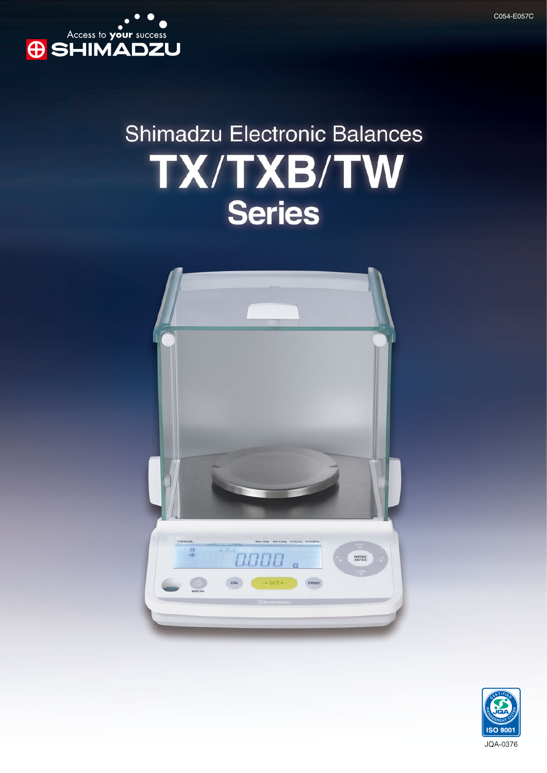

# **Shimadzu Electronic Balances** TX/TXB/TW **Series**



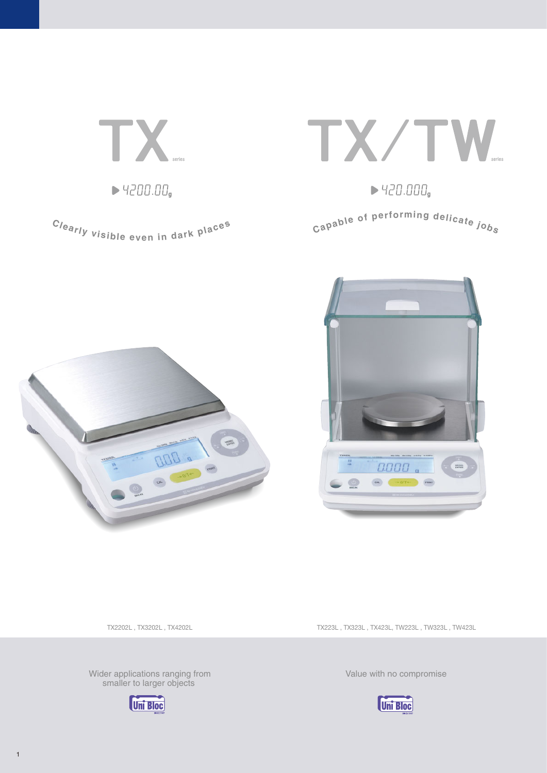TX  $\blacktriangleright$  4200.00,

Clearly visible even in dark places



 $\blacktriangleright$  420.000,

Capable of performing delicate jobs





TX2202L , TX3202L , TX4202L

Wider applications ranging from smaller to larger objects



TX223L , TX323L , TX423L, TW223L , TW323L , TW423L

**Uni Bloc** 

Value with no compromise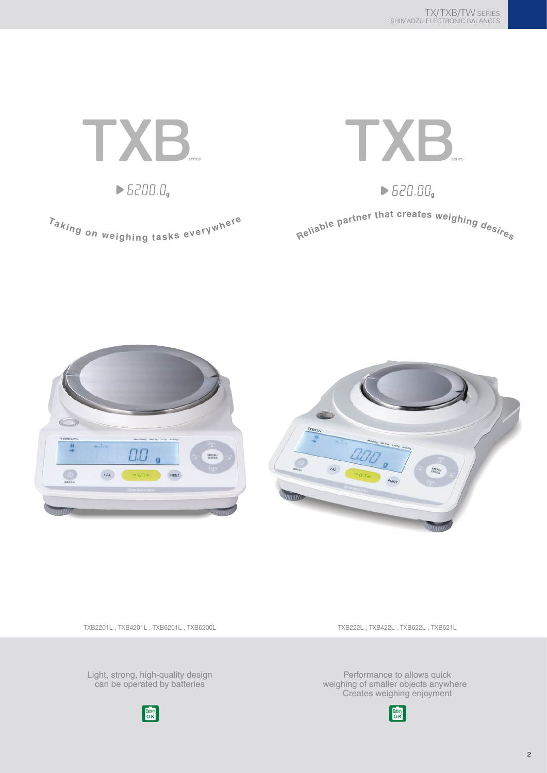





TXB2201L , TXB4201L , TXB6201L , TXB6200L

TXB222L , TXB422L , TXB622L , TXB621L

Light, strong, high-quality design can be operated by batteries



Performance to allows quick weighing of smaller objects anywhere Creates weighing enjoyment

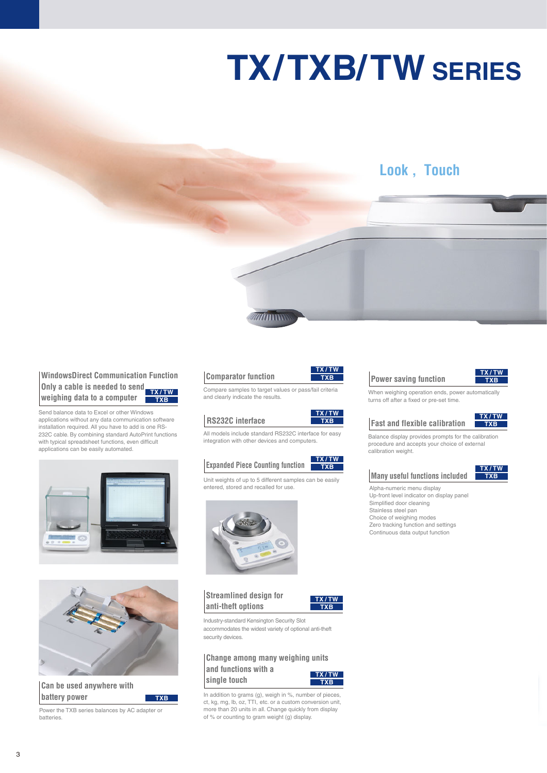# **TX/TXB/TW SERIES**

### **Look , Touch**

#### **WindowsDirect Communication Function Only a cable is needed to send weighing data to a computer TXB TX / TW**

Send balance data to Excel or other Windows applications without any data communication software installation required. All you have to add is one RS-232C cable. By combining standard AutoPrint functions with typical spreadsheet functions, even difficult applications can be easily automated.





**Can be used anywhere with battery power**

Power the TXB series balances by AC adapter or batteries.

**TXB**

#### **Comparator function**



**WITHIN** 

#### **RS232C interface**

All models include standard RS232C interface for easy integration with other devices and computers.

#### **Expanded Piece Counting function TXB TX / TW**

Unit weights of up to 5 different samples can be easily entered, stored and recalled for use.



**Streamlined design for anti-theft options**



**TXB**

Industry-standard Kensington Security Slot accommodates the widest variety of optional anti-theft security devices.

#### **Change among many weighing units and functions with a TX / TW**



In addition to grams (g), weigh in %, number of pieces, ct, kg, mg, lb, oz, TTI, etc. or a custom conversion unit, more than 20 units in all. Change quickly from display of % or counting to gram weight (g) display.



**TXB TX / TW**

#### **Power saving function**



When weighing operation ends, power automatically turns off after a fixed or pre-set time.





Balance display provides prompts for the calibration procedure and accepts your choice of external calibration weight.

#### **Many useful functions included**

**TXB TX / TW**

Alpha-numeric menu display Up-front level indicator on display panel Simplified door cleaning Stainless steel pan Choice of weighing modes Zero tracking function and settings Continuous data output function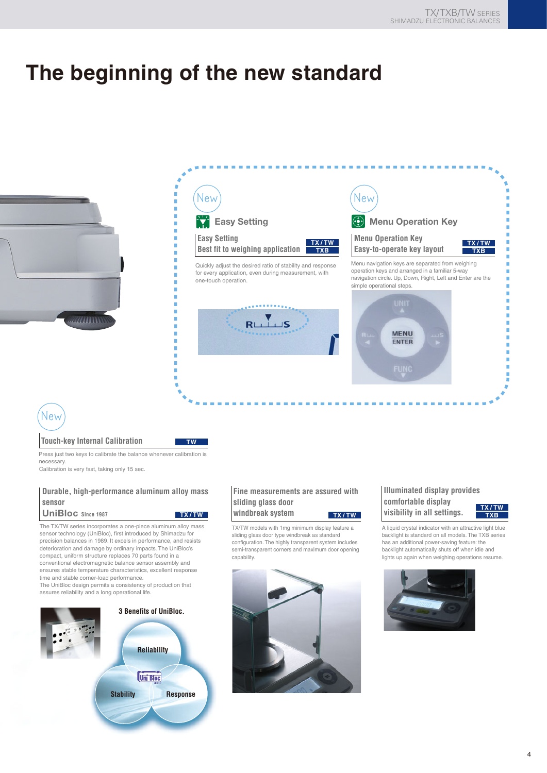# **The beginning of the new standard**





New

#### **Touch-key Internal Calibration**

Press just two keys to calibrate the balance whenever calibration is necessary.

**TW**

Calibration is very fast, taking only 15 sec.

#### **Durable, high-performance aluminum alloy mass sensor**

**UniBloc Since 1987**

The TX/TW series incorporates a one-piece aluminum alloy mass sensor technology (UniBloc), first introduced by Shimadzu for precision balances in 1989. It excels in performance, and resists deterioration and damage by ordinary impacts. The UniBloc's compact, uniform structure replaces 70 parts found in a conventional electromagnetic balance sensor assembly and ensures stable temperature characteristics, excellent response time and stable corner-load performance. The UniBloc design permits a consistency of production that assures reliability and a long operational life.

**3 Benefits of UniBloc.Reliability Uni Bloc Stability Response**

#### **Fine measurements are assured with sliding glass door windbreak system TX / TW TX / TW**

TX/TW models with 1mg minimum display feature a sliding glass door type windbreak as standard configuration. The highly transparent system includes semi-transparent corners and maximum door opening capability.



#### **Illuminated display provides comfortable display visibility in all settings.**

**TXB TX / TW**

A liquid crystal indicator with an attractive light blue backlight is standard on all models. The TXB series has an additional power-saving feature: the backlight automatically shuts off when idle and lights up again when weighing operations resume.

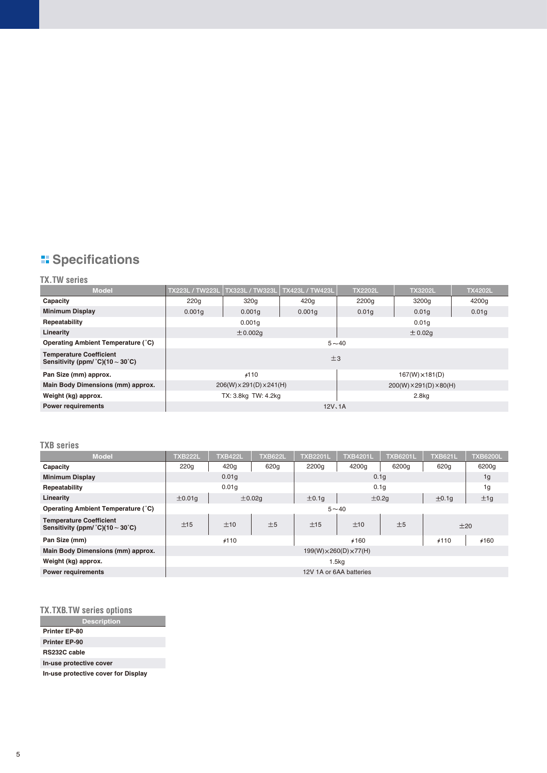## **E** Specifications

#### **TX.TW series**

| <b>Model</b>                                                                                 | TX223L / TW223L                                                             | TX323L / TW323L     | TX423L / TW423L | <b>TX2202L</b>         | <b>TX3202L</b> | <b>TX4202L</b> |  |
|----------------------------------------------------------------------------------------------|-----------------------------------------------------------------------------|---------------------|-----------------|------------------------|----------------|----------------|--|
| Capacity                                                                                     | 220q                                                                        | 320g                | 420g            | 2200g                  | 3200g          | 4200g          |  |
| <b>Minimum Display</b>                                                                       | 0.001q                                                                      | 0.001q              | 0.001q          | 0.01q                  | 0.01q          | 0.01q          |  |
| Repeatability                                                                                |                                                                             | 0.001q              |                 | 0.01q                  |                |                |  |
| Linearity                                                                                    | ± 0.02q<br>$\pm$ 0.002q                                                     |                     |                 |                        |                |                |  |
| Operating Ambient Temperature (°C)                                                           | $5 - 40$                                                                    |                     |                 |                        |                |                |  |
| <b>Temperature Coefficient</b><br>Sensitivity (ppm/ $^{\circ}$ C)(10 $\sim$ 30 $^{\circ}$ C) | ±3                                                                          |                     |                 |                        |                |                |  |
| Pan Size (mm) approx.                                                                        |                                                                             | #110                |                 | $167(W) \times 181(D)$ |                |                |  |
| Main Body Dimensions (mm) approx.                                                            | $206(W) \times 291(D) \times 241(H)$<br>$200(W) \times 291(D) \times 80(H)$ |                     |                 |                        |                |                |  |
| Weight (kg) approx.                                                                          |                                                                             | TX: 3.8kg TW: 4.2kg |                 | 2.8 <sub>kq</sub>      |                |                |  |
| <b>Power requirements</b>                                                                    | 12V, 1A                                                                     |                     |                 |                        |                |                |  |

#### **TXB series**

| <b>Model</b>                                                                            | <b>TXB222L</b>                    | <b>TXB422L</b>   | <b>TXB622L</b> | <b>TXB2201L</b>  | <b>TXB4201L</b> | <b>TXB6201L</b> | <b>TXB621L</b> | <b>TXB6200L</b> |
|-----------------------------------------------------------------------------------------|-----------------------------------|------------------|----------------|------------------|-----------------|-----------------|----------------|-----------------|
| Capacity                                                                                | 220q                              | 420g             | 620g           | 2200g            | 4200g           | 6200g           | 620g           | 6200g           |
| <b>Minimum Display</b>                                                                  |                                   | 0.01q            |                | 0.1q             |                 |                 |                | 1g              |
| Repeatability                                                                           | 0.01q                             |                  |                | 0.1 <sub>q</sub> |                 |                 |                | 1 <sub>g</sub>  |
| Linearity                                                                               | ±0.01q                            | $\pm 0.02q$      |                | $\pm$ 0.1q       | ±0.2q           |                 | $\pm$ 0.1g     | ±1g             |
| Operating Ambient Temperature (°C)                                                      | $5 - 40$                          |                  |                |                  |                 |                 |                |                 |
| <b>Temperature Coefficient</b><br>Sensitivity (ppm/ $^{\circ}$ C)(10 ~ 30 $^{\circ}$ C) | ±15                               | ±5<br>±15<br>±10 |                | ±10              | ±5              | ±20             |                |                 |
| Pan Size (mm)                                                                           | #110                              |                  |                |                  | 6460            | #110            | #160           |                 |
| Main Body Dimensions (mm) approx.                                                       | $199(W)\times 260(D)\times 77(H)$ |                  |                |                  |                 |                 |                |                 |
| Weight (kg) approx.                                                                     | 1.5kg                             |                  |                |                  |                 |                 |                |                 |
| <b>Power requirements</b>                                                               | 12V 1A or 6AA batteries           |                  |                |                  |                 |                 |                |                 |

#### **TX.TXB.TW series options**

| <b>Description</b>                  |  |  |  |  |
|-------------------------------------|--|--|--|--|
| <b>Printer EP-80</b>                |  |  |  |  |
| <b>Printer EP-90</b>                |  |  |  |  |
| <b>RS232C cable</b>                 |  |  |  |  |
| In-use protective cover             |  |  |  |  |
| In-use protective cover for Display |  |  |  |  |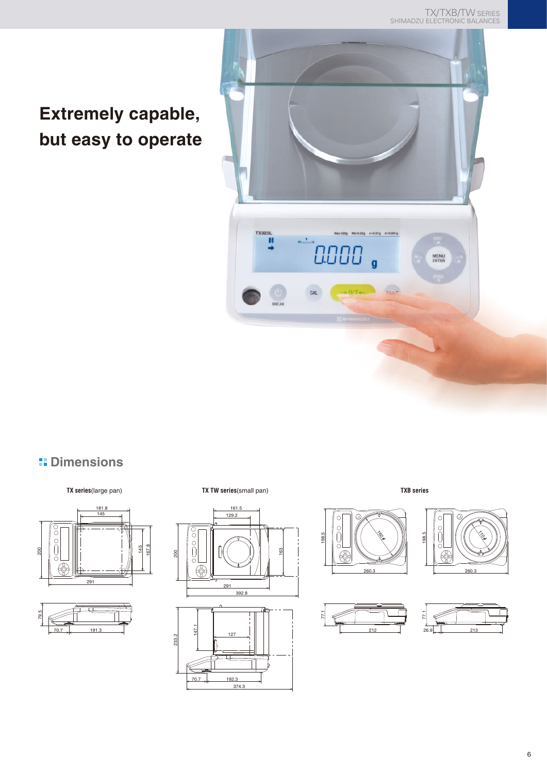TX/TXB/TW SERIES SHIMADZU ELECTRONIC BALANCES

## **Extremely capable, but easy to operate**



### **H** Dimensions





**TX series**(large pan) **TX TW series**(small pan) **TXB series**



200